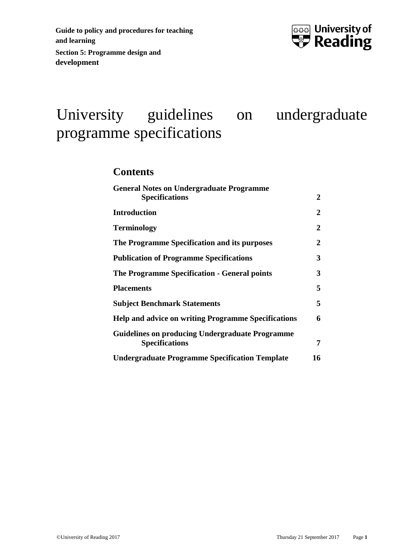

# University guidelines on undergraduate programme specifications

### **Contents**

| <b>General Notes on Undergraduate Programme</b>                                 |    |
|---------------------------------------------------------------------------------|----|
| <b>Specifications</b>                                                           | 2  |
| <b>Introduction</b>                                                             | 2  |
| <b>Terminology</b>                                                              | 2  |
| The Programme Specification and its purposes                                    | 2  |
| <b>Publication of Programme Specifications</b>                                  | 3  |
| The Programme Specification - General points                                    | 3  |
| <b>Placements</b>                                                               | 5  |
| <b>Subject Benchmark Statements</b>                                             | 5  |
| <b>Help and advice on writing Programme Specifications</b>                      | 6  |
| <b>Guidelines on producing Undergraduate Programme</b><br><b>Specifications</b> | 7  |
| <b>Undergraduate Programme Specification Template</b>                           | 16 |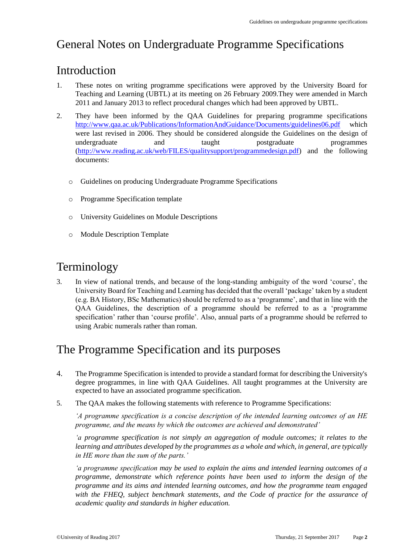# <span id="page-1-0"></span>General Notes on Undergraduate Programme Specifications

## <span id="page-1-1"></span>Introduction

- 1. These notes on writing programme specifications were approved by the University Board for Teaching and Learning (UBTL) at its meeting on 26 February 2009.They were amended in March 2011 and January 2013 to reflect procedural changes which had been approved by UBTL.
- 2. They have been informed by the QAA Guidelines for preparing programme specifications <http://www.qaa.ac.uk/Publications/InformationAndGuidance/Documents/guidelines06.pdf> which were last revised in 2006. They should be considered alongside the Guidelines on the design of undergraduate and taught postgraduate programmes [\(http://www.reading.ac.uk/web/FILES/qualitysupport/programmedesign.pdf\)](http://www.reading.ac.uk/web/FILES/qualitysupport/programmedesign.pdf) and the following documents:
	- o Guidelines on producing Undergraduate Programme Specifications
	- o Programme Specification template
	- o University Guidelines on Module Descriptions
	- o Module Description Template

## <span id="page-1-2"></span>Terminology

3. In view of national trends, and because of the long-standing ambiguity of the word 'course', the University Board for Teaching and Learning has decided that the overall 'package' taken by a student (e.g. BA History, BSc Mathematics) should be referred to as a 'programme', and that in line with the QAA Guidelines, the description of a programme should be referred to as a 'programme specification' rather than 'course profile'. Also, annual parts of a programme should be referred to using Arabic numerals rather than roman.

## <span id="page-1-3"></span>The Programme Specification and its purposes

- 4. The Programme Specification is intended to provide a standard format for describing the University's degree programmes, in line with QAA Guidelines. All taught programmes at the University are expected to have an associated programme specification.
- 5. The QAA makes the following statements with reference to Programme Specifications:

*'A programme specification is a concise description of the intended learning outcomes of an HE programme, and the means by which the outcomes are achieved and demonstrated'*

*'a programme specification is not simply an aggregation of module outcomes; it relates to the learning and attributes developed by the programmes as a whole and which, in general, are typically in HE more than the sum of the parts.'*

*'a programme specification may be used to explain the aims and intended learning outcomes of a programme, demonstrate which reference points have been used to inform the design of the programme and its aims and intended learning outcomes, and how the programme team engaged with the FHEQ, subject benchmark statements, and the Code of practice for the assurance of academic quality and standards in higher education.*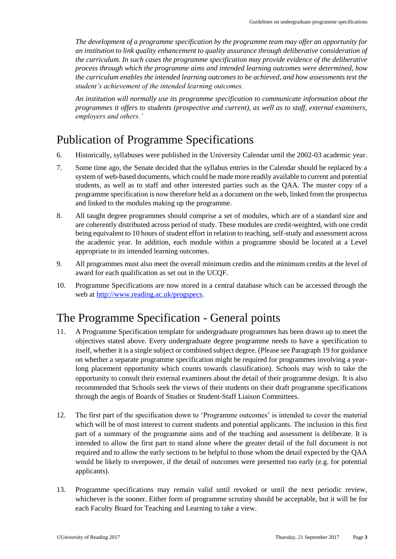*The development of a programme specification by the programme team may offer an opportunity for an institution to link quality enhancement to quality assurance through deliberative consideration of the curriculum. In such cases the programme specification may provide evidence of the deliberative process through which the programme aims and intended learning outcomes were determined, how the curriculum enables the intended learning outcomes to be achieved, and how assessments test the student's achievement of the intended learning outcomes.*

*An institution will normally use its programme specification to communicate information about the programmes it offers to students (prospective and current), as well as to staff, external examiners, employers and others.'*

## <span id="page-2-0"></span>Publication of Programme Specifications

- 6. Historically, syllabuses were published in the University Calendar until the 2002-03 academic year.
- 7. Some time ago, the Senate decided that the syllabus entries in the Calendar should be replaced by a system of web-based documents, which could be made more readily available to current and potential students, as well as to staff and other interested parties such as the QAA. The master copy of a programme specification is now therefore held as a document on the web, linked from the prospectus and linked to the modules making up the programme.
- 8. All taught degree programmes should comprise a set of modules, which are of a standard size and are coherently distributed across period of study. These modules are credit-weighted, with one credit being equivalent to 10 hours of student effort in relation to teaching, self-study and assessment across the academic year. In addition, each module within a programme should be located at a Level appropriate to its intended learning outcomes.
- 9. All programmes must also meet the overall minimum credits and the minimum credits at the level of award for each qualification as set out in the UCQF.
- 10. Programme Specifications are now stored in a central database which can be accessed through the web at [http://www.reading.ac.uk/progspecs.](http://www.reading.ac.uk/progspecs)

## <span id="page-2-1"></span>The Programme Specification - General points

- 11. A Programme Specification template for undergraduate programmes has been drawn up to meet the objectives stated above. Every undergraduate degree programme needs to have a specification to itself, whether it is a single subject or combined subject degree. (Please see Paragraph 19 for guidance on whether a separate programme specification might be required for programmes involving a yearlong placement opportunity which counts towards classification). Schools may wish to take the opportunity to consult their external examiners about the detail of their programme design. It is also recommended that Schools seek the views of their students on their draft programme specifications through the aegis of Boards of Studies or Student-Staff Liaison Committees.
- 12. The first part of the specification down to 'Programme outcomes' is intended to cover the material which will be of most interest to current students and potential applicants. The inclusion in this first part of a summary of the programme aims and of the teaching and assessment is deliberate. It is intended to allow the first part to stand alone where the greater detail of the full document is not required and to allow the early sections to be helpful to those whom the detail expected by the QAA would be likely to overpower, if the detail of outcomes were presented too early (e.g. for potential applicants).
- 13. Programme specifications may remain valid until revoked or until the next periodic review, whichever is the sooner. Either form of programme scrutiny should be acceptable, but it will be for each Faculty Board for Teaching and Learning to take a view.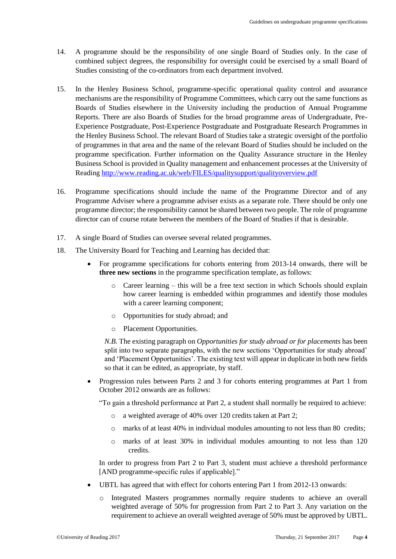- 14. A programme should be the responsibility of one single Board of Studies only. In the case of combined subject degrees, the responsibility for oversight could be exercised by a small Board of Studies consisting of the co-ordinators from each department involved.
- 15. In the Henley Business School, programme-specific operational quality control and assurance mechanisms are the responsibility of Programme Committees, which carry out the same functions as Boards of Studies elsewhere in the University including the production of Annual Programme Reports. There are also Boards of Studies for the broad programme areas of Undergraduate, Pre-Experience Postgraduate, Post-Experience Postgraduate and Postgraduate Research Programmes in the Henley Business School. The relevant Board of Studies take a strategic oversight of the portfolio of programmes in that area and the name of the relevant Board of Studies should be included on the programme specification. Further information on the Quality Assurance structure in the Henley Business School is provided in Quality management and enhancement processes at the University of Reading<http://www.reading.ac.uk/web/FILES/qualitysupport/qualityoverview.pdf>
- 16. Programme specifications should include the name of the Programme Director and of any Programme Adviser where a programme adviser exists as a separate role. There should be only one programme director; the responsibility cannot be shared between two people. The role of programme director can of course rotate between the members of the Board of Studies if that is desirable.
- 17. A single Board of Studies can oversee several related programmes.
- 18. The University Board for Teaching and Learning has decided that:
	- For programme specifications for cohorts entering from 2013-14 onwards, there will be **three new sections** in the programme specification template, as follows:
		- o Career learning this will be a free text section in which Schools should explain how career learning is embedded within programmes and identify those modules with a career learning component:
		- o Opportunities for study abroad; and
		- o Placement Opportunities.

*N.B.* The existing paragraph on *Opportunities for study abroad or for placements* has been split into two separate paragraphs, with the new sections 'Opportunities for study abroad' and 'Placement Opportunities'. The existing text will appear in duplicate in both new fields so that it can be edited, as appropriate, by staff.

 Progression rules between Parts 2 and 3 for cohorts entering programmes at Part 1 from October 2012 onwards are as follows:

"To gain a threshold performance at Part 2, a student shall normally be required to achieve:

- o a weighted average of 40% over 120 credits taken at Part 2;
- $\circ$  marks of at least 40% in individual modules amounting to not less than 80 credits;
- o marks of at least 30% in individual modules amounting to not less than 120 credits.

In order to progress from Part 2 to Part 3, student must achieve a threshold performance [AND programme-specific rules if applicable]."

- UBTL has agreed that with effect for cohorts entering Part 1 from 2012-13 onwards:
	- o Integrated Masters programmes normally require students to achieve an overall weighted average of 50% for progression from Part 2 to Part 3. Any variation on the requirement to achieve an overall weighted average of 50% must be approved by UBTL.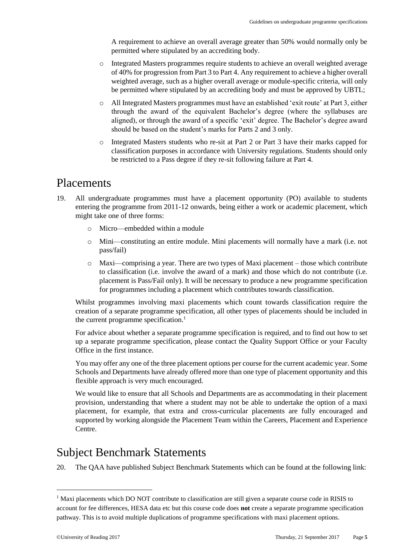A requirement to achieve an overall average greater than 50% would normally only be permitted where stipulated by an accrediting body.

- o Integrated Masters programmes require students to achieve an overall weighted average of 40% for progression from Part 3 to Part 4. Any requirement to achieve a higher overall weighted average, such as a higher overall average or module-specific criteria, will only be permitted where stipulated by an accrediting body and must be approved by UBTL;
- o All Integrated Masters programmes must have an established 'exit route' at Part 3, either through the award of the equivalent Bachelor's degree (where the syllabuses are aligned), or through the award of a specific 'exit' degree. The Bachelor's degree award should be based on the student's marks for Parts 2 and 3 only.
- o Integrated Masters students who re-sit at Part 2 or Part 3 have their marks capped for classification purposes in accordance with University regulations. Students should only be restricted to a Pass degree if they re-sit following failure at Part 4.

### <span id="page-4-0"></span>Placements

- 19. All undergraduate programmes must have a placement opportunity (PO) available to students entering the programme from 2011-12 onwards, being either a work or academic placement, which might take one of three forms:
	- Micro—embedded within a module
	- o Mini—constituting an entire module. Mini placements will normally have a mark (i.e. not pass/fail)
	- o Maxi—comprising a year. There are two types of Maxi placement those which contribute to classification (i.e. involve the award of a mark) and those which do not contribute (i.e. placement is Pass/Fail only). It will be necessary to produce a new programme specification for programmes including a placement which contributes towards classification.

Whilst programmes involving maxi placements which count towards classification require the creation of a separate programme specification, all other types of placements should be included in the current programme specification.<sup>1</sup>

For advice about whether a separate programme specification is required, and to find out how to set up a separate programme specification, please contact the Quality Support Office or your Faculty Office in the first instance.

You may offer any one of the three placement options per course for the current academic year. Some Schools and Departments have already offered more than one type of placement opportunity and this flexible approach is very much encouraged.

We would like to ensure that all Schools and Departments are as accommodating in their placement provision, understanding that where a student may not be able to undertake the option of a maxi placement, for example, that extra and cross-curricular placements are fully encouraged and supported by working alongside the Placement Team within the Careers, Placement and Experience Centre.

## <span id="page-4-1"></span>Subject Benchmark Statements

20. The QAA have published Subject Benchmark Statements which can be found at the following link:

-

<sup>&</sup>lt;sup>1</sup> Maxi placements which DO NOT contribute to classification are still given a separate course code in RISIS to account for fee differences, HESA data etc but this course code does **not** create a separate programme specification pathway. This is to avoid multiple duplications of programme specifications with maxi placement options.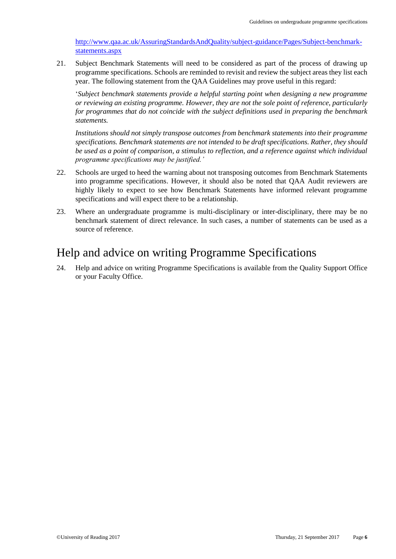[http://www.qaa.ac.uk/AssuringStandardsAndQuality/subject-guidance/Pages/Subject-benchmark](http://www.qaa.ac.uk/AssuringStandardsAndQuality/subject-guidance/Pages/Subject-benchmark-statements.aspx)[statements.aspx](http://www.qaa.ac.uk/AssuringStandardsAndQuality/subject-guidance/Pages/Subject-benchmark-statements.aspx)

21. Subject Benchmark Statements will need to be considered as part of the process of drawing up programme specifications. Schools are reminded to revisit and review the subject areas they list each year. The following statement from the QAA Guidelines may prove useful in this regard:

'*Subject benchmark statements provide a helpful starting point when designing a new programme or reviewing an existing programme. However, they are not the sole point of reference, particularly for programmes that do not coincide with the subject definitions used in preparing the benchmark statements.*

*Institutions should not simply transpose outcomes from benchmark statements into their programme specifications. Benchmark statements are not intended to be draft specifications. Rather, they should be used as a point of comparison, a stimulus to reflection, and a reference against which individual programme specifications may be justified.'*

- 22. Schools are urged to heed the warning about not transposing outcomes from Benchmark Statements into programme specifications. However, it should also be noted that QAA Audit reviewers are highly likely to expect to see how Benchmark Statements have informed relevant programme specifications and will expect there to be a relationship.
- 23. Where an undergraduate programme is multi-disciplinary or inter-disciplinary, there may be no benchmark statement of direct relevance. In such cases, a number of statements can be used as a source of reference.

## <span id="page-5-0"></span>Help and advice on writing Programme Specifications

24. Help and advice on writing Programme Specifications is available from the Quality Support Office or your Faculty Office.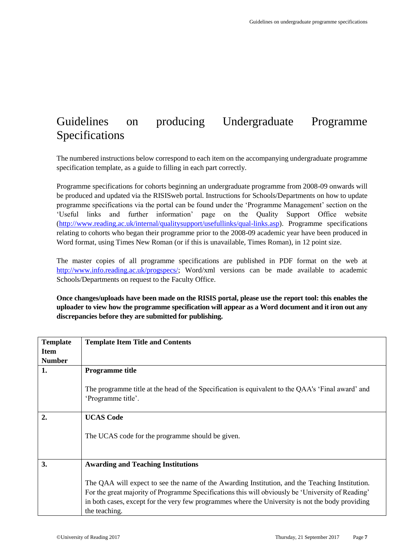## <span id="page-6-0"></span>Guidelines on producing Undergraduate Programme Specifications

The numbered instructions below correspond to each item on the accompanying undergraduate programme specification template, as a guide to filling in each part correctly.

Programme specifications for cohorts beginning an undergraduate programme from 2008-09 onwards will be produced and updated via the RISISweb portal. Instructions for Schools/Departments on how to update programme specifications via the portal can be found under the 'Programme Management' section on the 'Useful links and further information' page on the Quality Support Office website [\(http://www.reading.ac.uk/internal/qualitysupport/usefullinks/qual-links.asp\)](http://www.reading.ac.uk/internal/qualitysupport/usefullinks/qual-links.asp). Programme specifications relating to cohorts who began their programme prior to the 2008-09 academic year have been produced in Word format, using Times New Roman (or if this is unavailable, Times Roman), in 12 point size.

The master copies of all programme specifications are published in PDF format on the web at [http://www.info.reading.ac.uk/progspecs/;](http://www.info.reading.ac.uk/progspecs/) Word/xml versions can be made available to academic Schools/Departments on request to the Faculty Office.

**Once changes/uploads have been made on the RISIS portal, please use the report tool: this enables the uploader to view how the programme specification will appear as a Word document and it iron out any discrepancies before they are submitted for publishing.**

| <b>Template</b> | <b>Template Item Title and Contents</b>                                                                                                                                                                                                                                                                                  |
|-----------------|--------------------------------------------------------------------------------------------------------------------------------------------------------------------------------------------------------------------------------------------------------------------------------------------------------------------------|
| <b>Item</b>     |                                                                                                                                                                                                                                                                                                                          |
| <b>Number</b>   |                                                                                                                                                                                                                                                                                                                          |
| 1.              | <b>Programme title</b>                                                                                                                                                                                                                                                                                                   |
|                 | The programme title at the head of the Specification is equivalent to the QAA's 'Final award' and<br>'Programme title'.                                                                                                                                                                                                  |
| 2.              | <b>UCAS Code</b>                                                                                                                                                                                                                                                                                                         |
|                 | The UCAS code for the programme should be given.                                                                                                                                                                                                                                                                         |
|                 |                                                                                                                                                                                                                                                                                                                          |
| 3.              | <b>Awarding and Teaching Institutions</b>                                                                                                                                                                                                                                                                                |
|                 | The QAA will expect to see the name of the Awarding Institution, and the Teaching Institution.<br>For the great majority of Programme Specifications this will obviously be 'University of Reading'<br>in both cases, except for the very few programmes where the University is not the body providing<br>the teaching. |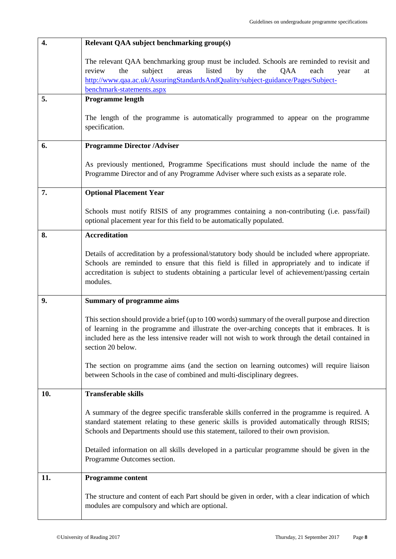| 4.  | Relevant QAA subject benchmarking group(s)                                                                                                                                                                                                                                                                                   |
|-----|------------------------------------------------------------------------------------------------------------------------------------------------------------------------------------------------------------------------------------------------------------------------------------------------------------------------------|
|     | The relevant QAA benchmarking group must be included. Schools are reminded to revisit and<br>listed<br>subject<br>by<br>the<br>review<br>the<br>areas<br>QAA<br>each<br>year<br>at<br>http://www.qaa.ac.uk/AssuringStandardsAndQuality/subject-guidance/Pages/Subject-<br>benchmark-statements.aspx                          |
| 5.  | Programme length                                                                                                                                                                                                                                                                                                             |
|     | The length of the programme is automatically programmed to appear on the programme<br>specification.                                                                                                                                                                                                                         |
| 6.  | <b>Programme Director /Adviser</b>                                                                                                                                                                                                                                                                                           |
|     | As previously mentioned, Programme Specifications must should include the name of the<br>Programme Director and of any Programme Adviser where such exists as a separate role.                                                                                                                                               |
| 7.  | <b>Optional Placement Year</b>                                                                                                                                                                                                                                                                                               |
|     | Schools must notify RISIS of any programmes containing a non-contributing (i.e. pass/fail)<br>optional placement year for this field to be automatically populated.                                                                                                                                                          |
| 8.  | <b>Accreditation</b>                                                                                                                                                                                                                                                                                                         |
|     | Details of accreditation by a professional/statutory body should be included where appropriate.<br>Schools are reminded to ensure that this field is filled in appropriately and to indicate if<br>accreditation is subject to students obtaining a particular level of achievement/passing certain<br>modules.              |
| 9.  | <b>Summary of programme aims</b>                                                                                                                                                                                                                                                                                             |
|     | This section should provide a brief (up to 100 words) summary of the overall purpose and direction<br>of learning in the programme and illustrate the over-arching concepts that it embraces. It is<br>included here as the less intensive reader will not wish to work through the detail contained in<br>section 20 below. |
|     | The section on programme aims (and the section on learning outcomes) will require liaison<br>between Schools in the case of combined and multi-disciplinary degrees.                                                                                                                                                         |
| 10. | <b>Transferable skills</b>                                                                                                                                                                                                                                                                                                   |
|     | A summary of the degree specific transferable skills conferred in the programme is required. A<br>standard statement relating to these generic skills is provided automatically through RISIS;<br>Schools and Departments should use this statement, tailored to their own provision.                                        |
|     | Detailed information on all skills developed in a particular programme should be given in the<br>Programme Outcomes section.                                                                                                                                                                                                 |
| 11. | <b>Programme content</b>                                                                                                                                                                                                                                                                                                     |
|     | The structure and content of each Part should be given in order, with a clear indication of which<br>modules are compulsory and which are optional.                                                                                                                                                                          |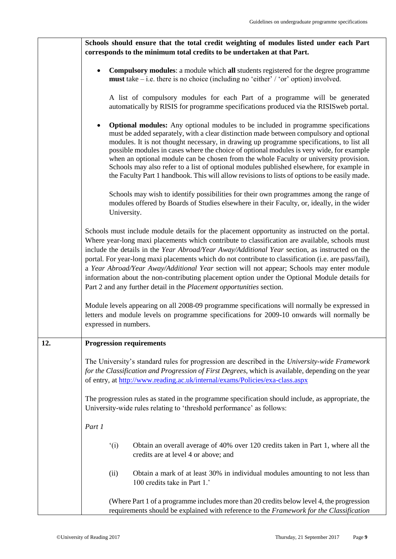|     | Schools should ensure that the total credit weighting of modules listed under each Part                                                                                                                                                                                                                                                                                                                                                                                                                                                                                                                                                                                            |  |  |  |
|-----|------------------------------------------------------------------------------------------------------------------------------------------------------------------------------------------------------------------------------------------------------------------------------------------------------------------------------------------------------------------------------------------------------------------------------------------------------------------------------------------------------------------------------------------------------------------------------------------------------------------------------------------------------------------------------------|--|--|--|
|     | corresponds to the minimum total credits to be undertaken at that Part.                                                                                                                                                                                                                                                                                                                                                                                                                                                                                                                                                                                                            |  |  |  |
|     | <b>Compulsory modules:</b> a module which <b>all</b> students registered for the degree programme<br>$\bullet$<br><b>must</b> take $-i.e.$ there is no choice (including no 'either' / 'or' option) involved.                                                                                                                                                                                                                                                                                                                                                                                                                                                                      |  |  |  |
|     | A list of compulsory modules for each Part of a programme will be generated<br>automatically by RISIS for programme specifications produced via the RISIS web portal.                                                                                                                                                                                                                                                                                                                                                                                                                                                                                                              |  |  |  |
|     | <b>Optional modules:</b> Any optional modules to be included in programme specifications<br>$\bullet$<br>must be added separately, with a clear distinction made between compulsory and optional<br>modules. It is not thought necessary, in drawing up programme specifications, to list all<br>possible modules in cases where the choice of optional modules is very wide, for example<br>when an optional module can be chosen from the whole Faculty or university provision.<br>Schools may also refer to a list of optional modules published elsewhere, for example in<br>the Faculty Part 1 handbook. This will allow revisions to lists of options to be easily made.    |  |  |  |
|     | Schools may wish to identify possibilities for their own programmes among the range of<br>modules offered by Boards of Studies elsewhere in their Faculty, or, ideally, in the wider<br>University.                                                                                                                                                                                                                                                                                                                                                                                                                                                                                |  |  |  |
|     | Schools must include module details for the placement opportunity as instructed on the portal.<br>Where year-long maxi placements which contribute to classification are available, schools must<br>include the details in the Year Abroad/Year Away/Additional Year section, as instructed on the<br>portal. For year-long maxi placements which do not contribute to classification (i.e. are pass/fail),<br>a Year Abroad/Year Away/Additional Year section will not appear; Schools may enter module<br>information about the non-contributing placement option under the Optional Module details for<br>Part 2 and any further detail in the Placement opportunities section. |  |  |  |
|     | Module levels appearing on all 2008-09 programme specifications will normally be expressed in<br>letters and module levels on programme specifications for 2009-10 onwards will normally be<br>expressed in numbers.                                                                                                                                                                                                                                                                                                                                                                                                                                                               |  |  |  |
| 12. | <b>Progression requirements</b>                                                                                                                                                                                                                                                                                                                                                                                                                                                                                                                                                                                                                                                    |  |  |  |
|     | The University's standard rules for progression are described in the University-wide Framework<br>for the Classification and Progression of First Degrees, which is available, depending on the year<br>of entry, at http://www.reading.ac.uk/internal/exams/Policies/exa-class.aspx                                                                                                                                                                                                                                                                                                                                                                                               |  |  |  |
|     | The progression rules as stated in the programme specification should include, as appropriate, the<br>University-wide rules relating to 'threshold performance' as follows:                                                                                                                                                                                                                                                                                                                                                                                                                                                                                                        |  |  |  |
|     | Part 1                                                                                                                                                                                                                                                                                                                                                                                                                                                                                                                                                                                                                                                                             |  |  |  |
|     | $\hat{ }$ (i)<br>Obtain an overall average of 40% over 120 credits taken in Part 1, where all the<br>credits are at level 4 or above; and                                                                                                                                                                                                                                                                                                                                                                                                                                                                                                                                          |  |  |  |
|     | (ii)<br>Obtain a mark of at least 30% in individual modules amounting to not less than<br>100 credits take in Part 1.'                                                                                                                                                                                                                                                                                                                                                                                                                                                                                                                                                             |  |  |  |
|     | (Where Part 1 of a programme includes more than 20 credits below level 4, the progression<br>requirements should be explained with reference to the Framework for the Classification                                                                                                                                                                                                                                                                                                                                                                                                                                                                                               |  |  |  |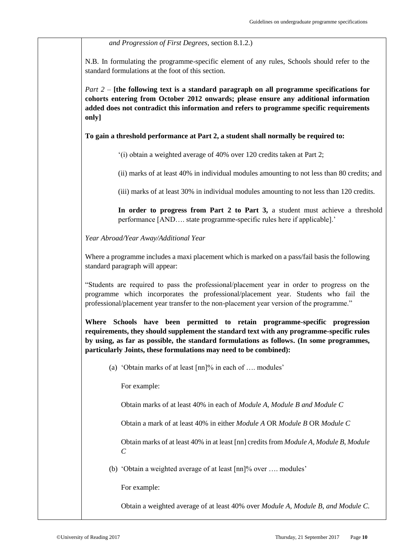*and Progression of First Degrees*, section 8.1.2.)

N.B. In formulating the programme-specific element of any rules, Schools should refer to the standard formulations at the foot of this section.

*Part 2 –* **[the following text is a standard paragraph on all programme specifications for cohorts entering from October 2012 onwards; please ensure any additional information added does not contradict this information and refers to programme specific requirements only]**

### **To gain a threshold performance at Part 2, a student shall normally be required to:**

'(i) obtain a weighted average of 40% over 120 credits taken at Part 2;

(ii) marks of at least 40% in individual modules amounting to not less than 80 credits; and

(iii) marks of at least 30% in individual modules amounting to not less than 120 credits.

**In order to progress from Part 2 to Part 3,** a student must achieve a threshold performance [AND…. state programme-specific rules here if applicable].'

*Year Abroad/Year Away/Additional Year*

Where a programme includes a maxi placement which is marked on a pass/fail basis the following standard paragraph will appear:

"Students are required to pass the professional/placement year in order to progress on the programme which incorporates the professional/placement year. Students who fail the professional/placement year transfer to the non-placement year version of the programme."

**Where Schools have been permitted to retain programme-specific progression requirements, they should supplement the standard text with any programme-specific rules by using, as far as possible, the standard formulations as follows. (In some programmes, particularly Joints, these formulations may need to be combined):**

(a) 'Obtain marks of at least [nn]% in each of …. modules'

For example:

Obtain marks of at least 40% in each of *Module A, Module B and Module C*

Obtain a mark of at least 40% in either *Module A* OR *Module B* OR *Module C*

Obtain marks of at least 40% in at least [nn] credits from *Module A, Module B, Module C*

(b) 'Obtain a weighted average of at least [nn]% over …. modules'

For example:

Obtain a weighted average of at least 40% over *Module A, Module B, and Module C.*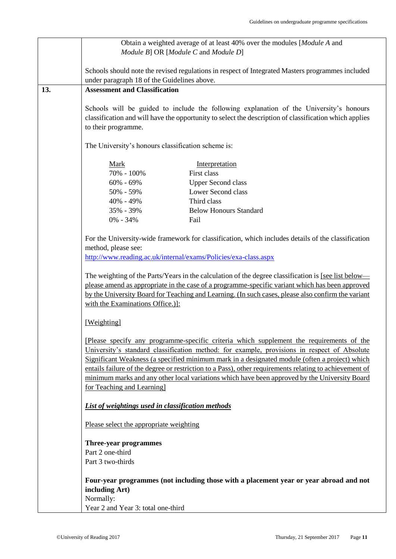|     | Obtain a weighted average of at least 40% over the modules [Module A and                                                                                                                |                                                                                                        |  |  |
|-----|-----------------------------------------------------------------------------------------------------------------------------------------------------------------------------------------|--------------------------------------------------------------------------------------------------------|--|--|
|     | Module B] OR [Module C and Module D]                                                                                                                                                    |                                                                                                        |  |  |
|     |                                                                                                                                                                                         |                                                                                                        |  |  |
|     | Schools should note the revised regulations in respect of Integrated Masters programmes included                                                                                        |                                                                                                        |  |  |
|     |                                                                                                                                                                                         |                                                                                                        |  |  |
| 13. | under paragraph 18 of the Guidelines above.                                                                                                                                             |                                                                                                        |  |  |
|     | <b>Assessment and Classification</b>                                                                                                                                                    |                                                                                                        |  |  |
|     |                                                                                                                                                                                         |                                                                                                        |  |  |
|     |                                                                                                                                                                                         | Schools will be guided to include the following explanation of the University's honours                |  |  |
|     |                                                                                                                                                                                         | classification and will have the opportunity to select the description of classification which applies |  |  |
|     | to their programme.                                                                                                                                                                     |                                                                                                        |  |  |
|     |                                                                                                                                                                                         |                                                                                                        |  |  |
|     | The University's honours classification scheme is:                                                                                                                                      |                                                                                                        |  |  |
|     |                                                                                                                                                                                         |                                                                                                        |  |  |
|     | Mark                                                                                                                                                                                    | Interpretation                                                                                         |  |  |
|     | 70% - 100%                                                                                                                                                                              | First class                                                                                            |  |  |
|     | $60\% - 69\%$                                                                                                                                                                           | <b>Upper Second class</b>                                                                              |  |  |
|     | 50% - 59%                                                                                                                                                                               | Lower Second class                                                                                     |  |  |
|     | 40% - 49%                                                                                                                                                                               | Third class                                                                                            |  |  |
|     |                                                                                                                                                                                         |                                                                                                        |  |  |
|     | 35% - 39%                                                                                                                                                                               | <b>Below Honours Standard</b>                                                                          |  |  |
|     | $0\% - 34\%$                                                                                                                                                                            | Fail                                                                                                   |  |  |
|     |                                                                                                                                                                                         |                                                                                                        |  |  |
|     |                                                                                                                                                                                         | For the University-wide framework for classification, which includes details of the classification     |  |  |
|     | method, please see:                                                                                                                                                                     |                                                                                                        |  |  |
|     |                                                                                                                                                                                         | http://www.reading.ac.uk/internal/exams/Policies/exa-class.aspx                                        |  |  |
|     |                                                                                                                                                                                         |                                                                                                        |  |  |
|     |                                                                                                                                                                                         | The weighting of the Parts/Years in the calculation of the degree classification is [see list below—   |  |  |
|     | please amend as appropriate in the case of a programme-specific variant which has been approved                                                                                         |                                                                                                        |  |  |
|     | by the University Board for Teaching and Learning. (In such cases, please also confirm the variant                                                                                      |                                                                                                        |  |  |
|     | with the Examinations Office.).                                                                                                                                                         |                                                                                                        |  |  |
|     |                                                                                                                                                                                         |                                                                                                        |  |  |
|     | [Weighting]                                                                                                                                                                             |                                                                                                        |  |  |
|     |                                                                                                                                                                                         |                                                                                                        |  |  |
|     |                                                                                                                                                                                         |                                                                                                        |  |  |
|     | [Please specify any programme-specific criteria which supplement the requirements of the<br>University's standard classification method: for example, provisions in respect of Absolute |                                                                                                        |  |  |
|     |                                                                                                                                                                                         |                                                                                                        |  |  |
|     |                                                                                                                                                                                         | Significant Weakness (a specified minimum mark in a designated module (often a project) which          |  |  |
|     |                                                                                                                                                                                         | entails failure of the degree or restriction to a Pass), other requirements relating to achievement of |  |  |
|     |                                                                                                                                                                                         | minimum marks and any other local variations which have been approved by the University Board          |  |  |
|     | for Teaching and Learning]                                                                                                                                                              |                                                                                                        |  |  |
|     |                                                                                                                                                                                         |                                                                                                        |  |  |
|     | List of weightings used in classification methods                                                                                                                                       |                                                                                                        |  |  |
|     |                                                                                                                                                                                         |                                                                                                        |  |  |
|     | Please select the appropriate weighting                                                                                                                                                 |                                                                                                        |  |  |
|     |                                                                                                                                                                                         |                                                                                                        |  |  |
|     | Three-year programmes                                                                                                                                                                   |                                                                                                        |  |  |
|     | Part 2 one-third                                                                                                                                                                        |                                                                                                        |  |  |
|     | Part 3 two-thirds                                                                                                                                                                       |                                                                                                        |  |  |
|     |                                                                                                                                                                                         |                                                                                                        |  |  |
|     | Four-year programmes (not including those with a placement year or year abroad and not                                                                                                  |                                                                                                        |  |  |
|     |                                                                                                                                                                                         |                                                                                                        |  |  |
|     | including Art)                                                                                                                                                                          |                                                                                                        |  |  |
|     | Normally:                                                                                                                                                                               |                                                                                                        |  |  |
|     | Year 2 and Year 3: total one-third                                                                                                                                                      |                                                                                                        |  |  |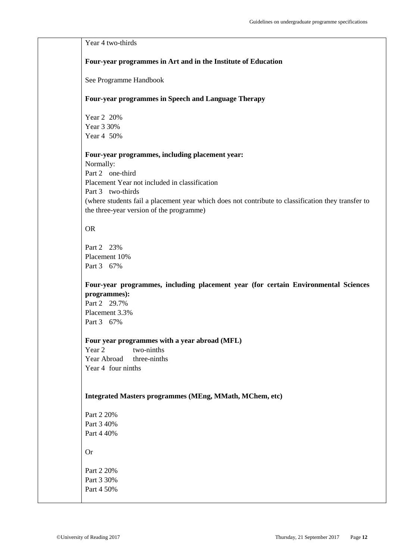| Year 4 two-thirds                                                                                  |
|----------------------------------------------------------------------------------------------------|
|                                                                                                    |
| Four-year programmes in Art and in the Institute of Education                                      |
|                                                                                                    |
| See Programme Handbook                                                                             |
|                                                                                                    |
| Four-year programmes in Speech and Language Therapy                                                |
|                                                                                                    |
| Year 2 20%                                                                                         |
| Year 3 30%                                                                                         |
| Year 4 50%                                                                                         |
|                                                                                                    |
| Four-year programmes, including placement year:                                                    |
| Normally:                                                                                          |
| Part 2 one-third                                                                                   |
| Placement Year not included in classification                                                      |
| Part 3 two-thirds                                                                                  |
| (where students fail a placement year which does not contribute to classification they transfer to |
| the three-year version of the programme)                                                           |
| <b>OR</b>                                                                                          |
|                                                                                                    |
| Part 2 23%                                                                                         |
| Placement 10%                                                                                      |
| Part 3 67%                                                                                         |
|                                                                                                    |
| Four-year programmes, including placement year (for certain Environmental Sciences                 |
| programmes):                                                                                       |
| Part 2 29.7%                                                                                       |
| Placement 3.3%                                                                                     |
| Part 3 67%                                                                                         |
|                                                                                                    |
| Four year programmes with a year abroad (MFL)                                                      |
| Year 2<br>two-ninths<br>Year Abroad<br>three-ninths                                                |
| Year 4 four ninths                                                                                 |
|                                                                                                    |
|                                                                                                    |
| Integrated Masters programmes (MEng, MMath, MChem, etc)                                            |
|                                                                                                    |
| Part 2 20%                                                                                         |
| Part 3 40%                                                                                         |
| Part 4 40%                                                                                         |
| <b>Or</b>                                                                                          |
|                                                                                                    |
| Part 2 20%                                                                                         |
| Part 3 30%                                                                                         |
| Part 4 50%                                                                                         |
|                                                                                                    |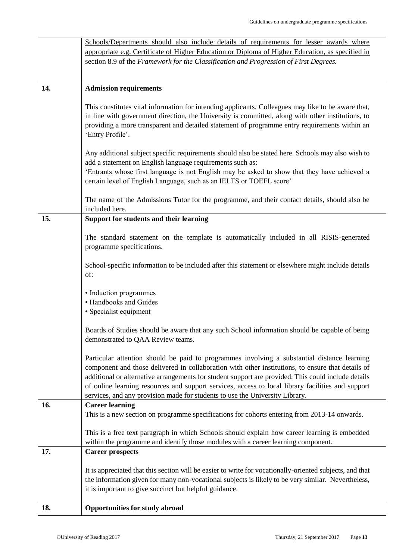| 18. | <b>Opportunities for study abroad</b>                                                                                                                                                                          |
|-----|----------------------------------------------------------------------------------------------------------------------------------------------------------------------------------------------------------------|
|     | it is important to give succinct but helpful guidance.                                                                                                                                                         |
|     | It is appreciated that this section will be easier to write for vocationally-oriented subjects, and that<br>the information given for many non-vocational subjects is likely to be very similar. Nevertheless, |
|     |                                                                                                                                                                                                                |
| 17. | <b>Career prospects</b>                                                                                                                                                                                        |
|     | This is a free text paragraph in which Schools should explain how career learning is embedded<br>within the programme and identify those modules with a career learning component.                             |
|     |                                                                                                                                                                                                                |
|     | This is a new section on programme specifications for cohorts entering from 2013-14 onwards.                                                                                                                   |
| 16. | services, and any provision made for students to use the University Library.<br><b>Career learning</b>                                                                                                         |
|     | of online learning resources and support services, access to local library facilities and support                                                                                                              |
|     | additional or alternative arrangements for student support are provided. This could include details                                                                                                            |
|     | component and those delivered in collaboration with other institutions, to ensure that details of                                                                                                              |
|     | Particular attention should be paid to programmes involving a substantial distance learning                                                                                                                    |
|     | demonstrated to QAA Review teams.                                                                                                                                                                              |
|     | Boards of Studies should be aware that any such School information should be capable of being                                                                                                                  |
|     | • Specialist equipment                                                                                                                                                                                         |
|     | • Handbooks and Guides                                                                                                                                                                                         |
|     | • Induction programmes                                                                                                                                                                                         |
|     | of:                                                                                                                                                                                                            |
|     | School-specific information to be included after this statement or elsewhere might include details                                                                                                             |
|     | programme specifications.                                                                                                                                                                                      |
|     | The standard statement on the template is automatically included in all RISIS-generated                                                                                                                        |
|     |                                                                                                                                                                                                                |
| 15. | included here.<br><b>Support for students and their learning</b>                                                                                                                                               |
|     | The name of the Admissions Tutor for the programme, and their contact details, should also be                                                                                                                  |
|     |                                                                                                                                                                                                                |
|     | 'Entrants whose first language is not English may be asked to show that they have achieved a<br>certain level of English Language, such as an IELTS or TOEFL score'                                            |
|     | add a statement on English language requirements such as:                                                                                                                                                      |
|     | Any additional subject specific requirements should also be stated here. Schools may also wish to                                                                                                              |
|     | 'Entry Profile'.                                                                                                                                                                                               |
|     | providing a more transparent and detailed statement of programme entry requirements within an                                                                                                                  |
|     | in line with government direction, the University is committed, along with other institutions, to                                                                                                              |
|     | This constitutes vital information for intending applicants. Colleagues may like to be aware that,                                                                                                             |
| 14. | <b>Admission requirements</b>                                                                                                                                                                                  |
|     |                                                                                                                                                                                                                |
|     | section 8.9 of the Framework for the Classification and Progression of First Degrees.                                                                                                                          |
|     | appropriate e.g. Certificate of Higher Education or Diploma of Higher Education, as specified in                                                                                                               |
|     | Schools/Departments should also include details of requirements for lesser awards where                                                                                                                        |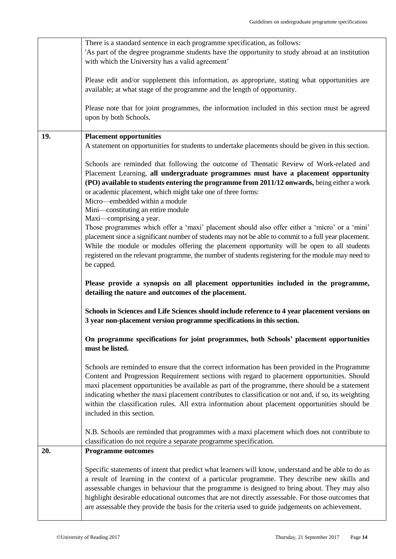|     | There is a standard sentence in each programme specification, as follows:<br>'As part of the degree programme students have the opportunity to study abroad at an institution<br>with which the University has a valid agreement'                                                                                                                                                                                                                                                                                                       |  |  |  |
|-----|-----------------------------------------------------------------------------------------------------------------------------------------------------------------------------------------------------------------------------------------------------------------------------------------------------------------------------------------------------------------------------------------------------------------------------------------------------------------------------------------------------------------------------------------|--|--|--|
|     | Please edit and/or supplement this information, as appropriate, stating what opportunities are<br>available; at what stage of the programme and the length of opportunity.                                                                                                                                                                                                                                                                                                                                                              |  |  |  |
|     | Please note that for joint programmes, the information included in this section must be agreed<br>upon by both Schools.                                                                                                                                                                                                                                                                                                                                                                                                                 |  |  |  |
| 19. |                                                                                                                                                                                                                                                                                                                                                                                                                                                                                                                                         |  |  |  |
|     | <b>Placement opportunities</b><br>A statement on opportunities for students to undertake placements should be given in this section.                                                                                                                                                                                                                                                                                                                                                                                                    |  |  |  |
|     | Schools are reminded that following the outcome of Thematic Review of Work-related and<br>Placement Learning, all undergraduate programmes must have a placement opportunity<br>(PO) available to students entering the programme from 2011/12 onwards, being either a work<br>or academic placement, which might take one of three forms:<br>Micro—embedded within a module<br>Mini-constituting an entire module                                                                                                                      |  |  |  |
|     | Maxi—comprising a year.<br>Those programmes which offer a 'maxi' placement should also offer either a 'micro' or a 'mini'<br>placement since a significant number of students may not be able to commit to a full year placement.<br>While the module or modules offering the placement opportunity will be open to all students<br>registered on the relevant programme, the number of students registering for the module may need to<br>be capped.                                                                                   |  |  |  |
|     | Please provide a synopsis on all placement opportunities included in the programme,<br>detailing the nature and outcomes of the placement.                                                                                                                                                                                                                                                                                                                                                                                              |  |  |  |
|     | Schools in Sciences and Life Sciences should include reference to 4 year placement versions on<br>3 year non-placement version programme specifications in this section.                                                                                                                                                                                                                                                                                                                                                                |  |  |  |
|     | On programme specifications for joint programmes, both Schools' placement opportunities<br>must be listed.                                                                                                                                                                                                                                                                                                                                                                                                                              |  |  |  |
|     | Schools are reminded to ensure that the correct information has been provided in the Programme<br>Content and Progression Requirement sections with regard to placement opportunities. Should<br>maxi placement opportunities be available as part of the programme, there should be a statement<br>indicating whether the maxi placement contributes to classification or not and, if so, its weighting<br>within the classification rules. All extra information about placement opportunities should be<br>included in this section. |  |  |  |
|     | N.B. Schools are reminded that programmes with a maxi placement which does not contribute to<br>classification do not require a separate programme specification.                                                                                                                                                                                                                                                                                                                                                                       |  |  |  |
| 20. | <b>Programme outcomes</b>                                                                                                                                                                                                                                                                                                                                                                                                                                                                                                               |  |  |  |
|     | Specific statements of intent that predict what learners will know, understand and be able to do as<br>a result of learning in the context of a particular programme. They describe new skills and<br>assessable changes in behaviour that the programme is designed to bring about. They may also<br>highlight desirable educational outcomes that are not directly assessable. For those outcomes that<br>are assessable they provide the basis for the criteria used to guide judgements on achievement.                             |  |  |  |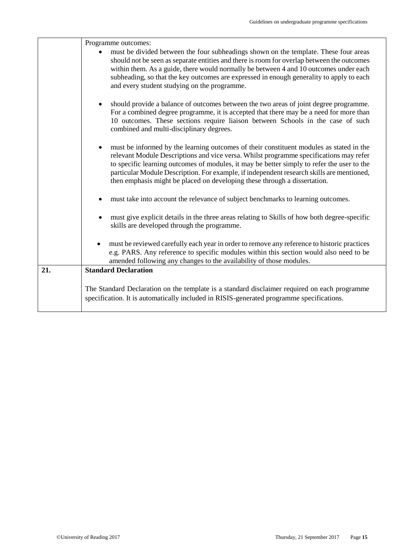|     | Programme outcomes:                                                                                                                                                                                                                                                                                                                                                                                                                                       |
|-----|-----------------------------------------------------------------------------------------------------------------------------------------------------------------------------------------------------------------------------------------------------------------------------------------------------------------------------------------------------------------------------------------------------------------------------------------------------------|
|     | must be divided between the four subheadings shown on the template. These four areas<br>should not be seen as separate entities and there is room for overlap between the outcomes<br>within them. As a guide, there would normally be between 4 and 10 outcomes under each<br>subheading, so that the key outcomes are expressed in enough generality to apply to each<br>and every student studying on the programme.                                   |
|     | should provide a balance of outcomes between the two areas of joint degree programme.<br>For a combined degree programme, it is accepted that there may be a need for more than<br>10 outcomes. These sections require liaison between Schools in the case of such<br>combined and multi-disciplinary degrees.                                                                                                                                            |
|     | must be informed by the learning outcomes of their constituent modules as stated in the<br>relevant Module Descriptions and vice versa. Whilst programme specifications may refer<br>to specific learning outcomes of modules, it may be better simply to refer the user to the<br>particular Module Description. For example, if independent research skills are mentioned,<br>then emphasis might be placed on developing these through a dissertation. |
|     | must take into account the relevance of subject benchmarks to learning outcomes.                                                                                                                                                                                                                                                                                                                                                                          |
|     | must give explicit details in the three areas relating to Skills of how both degree-specific<br>skills are developed through the programme.                                                                                                                                                                                                                                                                                                               |
|     | must be reviewed carefully each year in order to remove any reference to historic practices<br>$\bullet$<br>e.g. PARS. Any reference to specific modules within this section would also need to be<br>amended following any changes to the availability of those modules.                                                                                                                                                                                 |
| 21. | <b>Standard Declaration</b>                                                                                                                                                                                                                                                                                                                                                                                                                               |
|     | The Standard Declaration on the template is a standard disclaimer required on each programme<br>specification. It is automatically included in RISIS-generated programme specifications.                                                                                                                                                                                                                                                                  |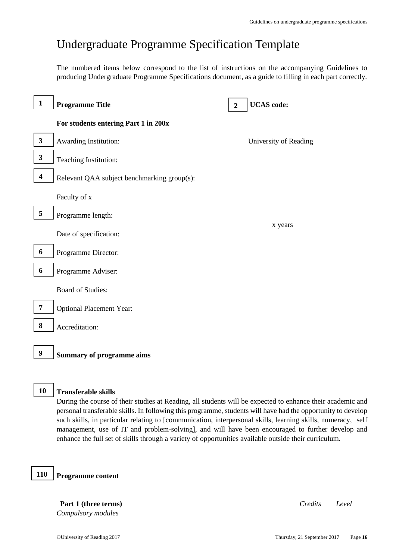## <span id="page-15-0"></span>Undergraduate Programme Specification Template

The numbered items below correspond to the list of instructions on the accompanying Guidelines to producing Undergraduate Programme Specifications document, as a guide to filling in each part correctly.

| $\mathbf{1}$            | <b>Programme Title</b>                      | $\boldsymbol{2}$ | <b>UCAS</b> code:     |
|-------------------------|---------------------------------------------|------------------|-----------------------|
|                         | For students entering Part 1 in 200x        |                  |                       |
| $\mathbf{3}$            | Awarding Institution:                       |                  | University of Reading |
| $\mathbf{3}$            | Teaching Institution:                       |                  |                       |
| $\overline{\mathbf{4}}$ | Relevant QAA subject benchmarking group(s): |                  |                       |
|                         | Faculty of x                                |                  |                       |
| $\sqrt{5}$              | Programme length:                           |                  |                       |
|                         | Date of specification:                      |                  | x years               |
| 6                       | Programme Director:                         |                  |                       |
| $\boldsymbol{6}$        | Programme Adviser:                          |                  |                       |
|                         | <b>Board of Studies:</b>                    |                  |                       |
| $\overline{7}$          | <b>Optional Placement Year:</b>             |                  |                       |
| $\bf 8$                 | Accreditation:                              |                  |                       |
| $\boldsymbol{9}$        | <b>Summary of programme aims</b>            |                  |                       |

### **Transferable skills 10**

During the course of their studies at Reading, all students will be expected to enhance their academic and personal transferable skills. In following this programme, students will have had the opportunity to develop such skills, in particular relating to [communication, interpersonal skills, learning skills, numeracy, self management, use of IT and problem-solving], and will have been encouraged to further develop and enhance the full set of skills through a variety of opportunities available outside their curriculum.

**Programme content 110**

> **Part 1 (three terms)** *Credits Level Compulsory modules*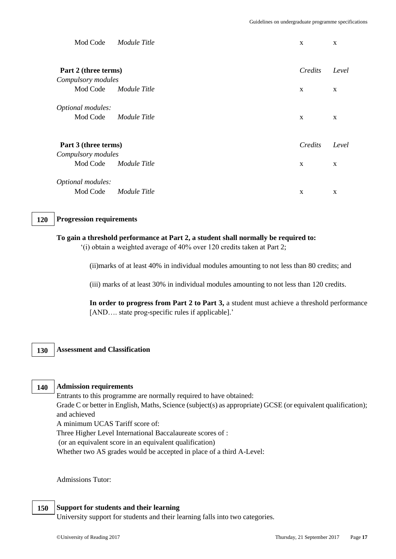| Mod Code                                   | Module Title          | X                       | X                     |
|--------------------------------------------|-----------------------|-------------------------|-----------------------|
| Part 2 (three terms)<br>Compulsory modules |                       | Credits                 | Level                 |
|                                            | Mod Code Module Title | X                       | X                     |
| Optional modules:<br>Mod Code              | Module Title          | $\mathbf{x}$            | $\mathbf{x}$          |
| Part 3 (three terms)<br>Compulsory modules | Mod Code Module Title | Credits<br>$\mathbf{x}$ | Level<br>$\mathbf{x}$ |
| Optional modules:<br>Mod Code              | Module Title          | $\mathbf{x}$            | $\mathbf{x}$          |

#### **Progression requirements 120**

### **To gain a threshold performance at Part 2, a student shall normally be required to:**

'(i) obtain a weighted average of 40% over 120 credits taken at Part 2;

(ii)marks of at least 40% in individual modules amounting to not less than 80 credits; and

(iii) marks of at least 30% in individual modules amounting to not less than 120 credits.

**In order to progress from Part 2 to Part 3,** a student must achieve a threshold performance [AND.... state prog-specific rules if applicable].'

#### **Assessment and Classification 130**

#### **Admission requirements 140**

**000**

**000**

Entrants to this programme are normally required to have obtained:

Grade C or better in English, Maths, Science (subject(s) as appropriate) GCSE (or equivalent qualification); and achieved

A minimum UCAS Tariff score of:

Three Higher Level International Baccalaureate scores of :

(or an equivalent score in an equivalent qualification)

Whether two AS grades would be accepted in place of a third A-Level:

Admissions Tutor:

#### **Support for students and their learning 150**

University support for students and their learning falls into two categories.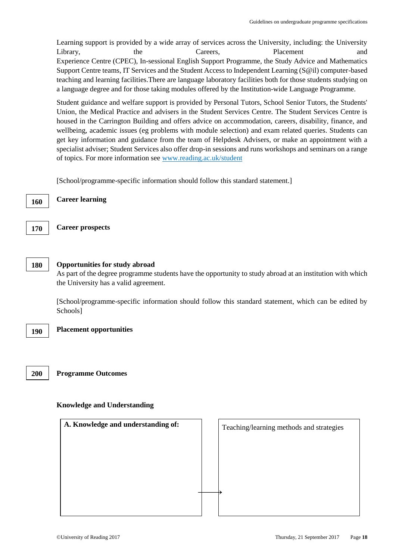Learning support is provided by a wide array of services across the University, including: the University Library, the Careers, Placement and Experience Centre (CPEC), In-sessional English Support Programme, the Study Advice and Mathematics Support Centre teams, IT Services and the Student Access to Independent Learning (S@il) computer-based teaching and learning facilities.There are language laboratory facilities both for those students studying on a language degree and for those taking modules offered by the Institution-wide Language Programme.

Student guidance and welfare support is provided by Personal Tutors, School Senior Tutors, the Students' Union, the Medical Practice and advisers in the Student Services Centre. The Student Services Centre is housed in the Carrington Building and offers advice on accommodation, careers, disability, finance, and wellbeing, academic issues (eg problems with module selection) and exam related queries. Students can get key information and guidance from the team of Helpdesk Advisers, or make an appointment with a specialist adviser; Student Services also offer drop-in sessions and runs workshops and seminars on a range of topics. For more information see [www.reading.ac.uk/student](http://www.reading.ac.uk/student)

[School/programme-specific information should follow this standard statement.]

**Career learning 160**

**Career prospects**

### **Opportunities for study abroad 180**

As part of the degree programme students have the opportunity to study abroad at an institution with which the University has a valid agreement.

[School/programme-specific information should follow this standard statement, which can be edited by Schools]

**170**

**000 0**

**000**

**Placement opportunities**

**200**

**Programme Outcomes**

### **Knowledge and Understanding**

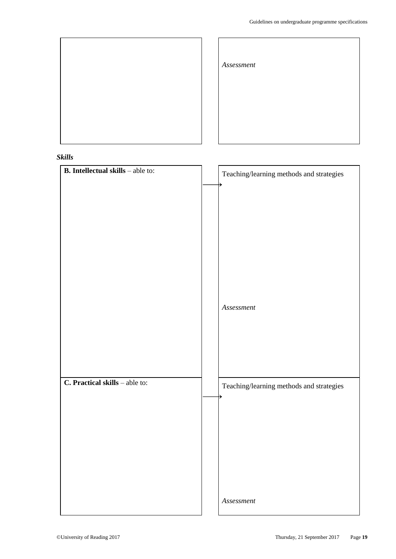٦



| Assessment |  |  |
|------------|--|--|
|            |  |  |
|            |  |  |

### *Skills*

| <b>B.</b> Intellectual skills – able to: | Teaching/learning methods and strategies    |
|------------------------------------------|---------------------------------------------|
|                                          |                                             |
|                                          |                                             |
|                                          |                                             |
|                                          |                                             |
|                                          |                                             |
|                                          |                                             |
|                                          |                                             |
|                                          |                                             |
|                                          | $\label{eq:assens} {\color{red}Assessment}$ |
|                                          |                                             |
|                                          |                                             |
|                                          |                                             |
|                                          |                                             |
|                                          |                                             |
| C. Practical skills - able to:           | Teaching/learning methods and strategies    |
|                                          |                                             |
|                                          |                                             |
|                                          |                                             |
|                                          |                                             |
|                                          |                                             |
|                                          |                                             |
|                                          |                                             |
|                                          | Assessment                                  |

 $\overline{1}$